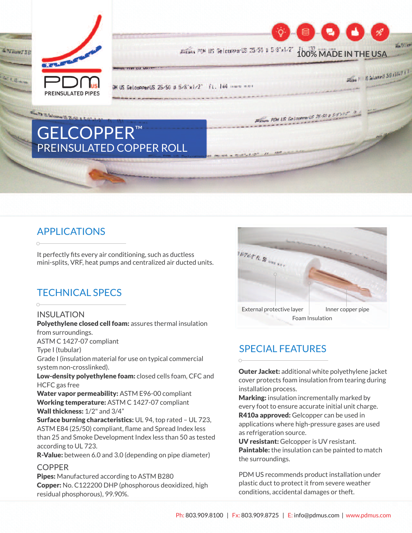

## APPLICATIONS

It perfectly fits every air conditioning, such as ductless mini-splits, VRF, heat pumps and centralized air ducted units.

## TECHNICAL SPECS

#### INSULATION

Polyethylene closed cell foam: assures thermal insulation from surroundings. ASTM C 1427-07 compliant Type I (tubular) Grade I (insulation material for use on typical commercial system non-crosslinked). Low-density polyethylene foam: closed cells foam, CFC and HCFC gas free Water vapor permeability: ASTM E96-00 compliant Working temperature: ASTM C 1427-07 compliant Wall thickness:  $1/2$ " and  $3/4$ "

Surface burning characteristics: UL 94, top rated - UL 723, ASTM E84 (25/50) compliant, flame and Spread Index less than 25 and Smoke Development Index less than 50 as tested according to UL 723.

**R-Value:** between 6.0 and 3.0 (depending on pipe diameter)

### **COPPER**

Pipes: Manufactured according to ASTM B280 Copper: No. C122200 DHP (phosphorous deoxidized, high residual phosphorous), 99.90%.



## SPECIAL FEATURES

**Outer Jacket:** additional white polyethylene jacket cover protects foam insulation from tearing during installation process.

**Marking:** insulation incrementally marked by every foot to ensure accurate initial unit charge.

R410a approved: Gelcopper can be used in applications where high-pressure gases are used as refrigeration source.

UV resistant: Gelcopper is UV resistant. Paintable: the insulation can be painted to match the surroundings.

PDM US recommends product installation under plastic duct to protect it from severe weather conditions, accidental damages or theft.